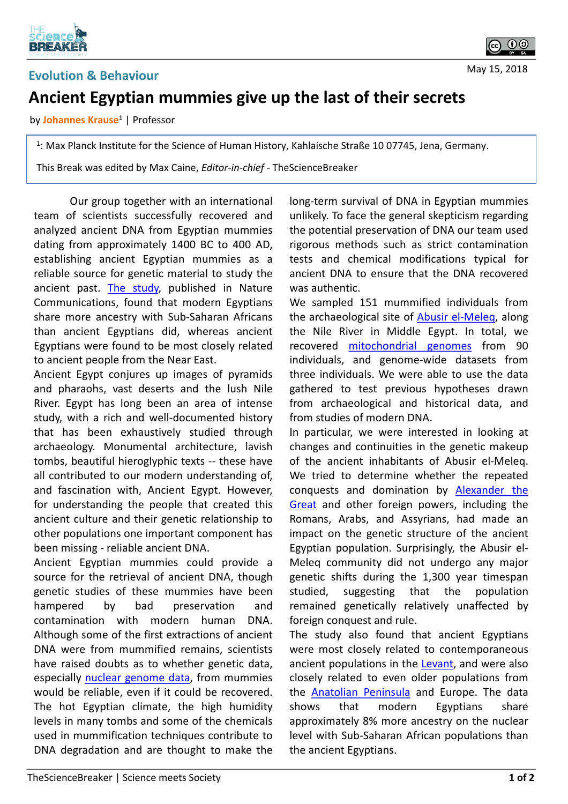

## **Ancient Egyptian mummies give up the last of their secrets**

by **Johannes Krause1** | Professor

1: Max Planck Institute for the Science of Human History, Kahlaische Straße 10 07745, Jena, Germany.

This Break was edited by Max Caine, *Editor-in-chief* - TheScienceBreaker

Our group together with an international team of scientists successfully recovered and analyzed ancient DNA from Egyptian mummies dating from approximately 1400 BC to 400 AD, establishing ancient Egyptian mummies as a reliable source for genetic material to study the ancient past. [The](https://www.nature.com/articles/ncomms15694) study, published in Nature Communications, found that modern Egyptians share more ancestry with Sub-Saharan Africans than ancient Egyptians did, whereas ancient Egyptians were found to be most closely related to ancient people from the Near East.

Ancient Egypt conjures up images of pyramids and pharaohs, vast deserts and the lush Nile River. Egypt has long been an area of intense study, with a rich and well-documented history that has been exhaustively studied through archaeology. Monumental architecture, lavish tombs, beautiful hieroglyphic texts -- these have all contributed to our modern understanding of, and fascination with, Ancient Egypt. However, for understanding the people that created this ancient culture and their genetic relationship to other populations one important component has been missing - reliable ancient DNA.

Ancient Egyptian mummies could provide a source for the retrieval of ancient DNA, though genetic studies of these mummies have been hampered by bad preservation and contamination with modern human DNA. Although some of the first extractions of ancient DNA were from mummified remains, scientists have raised doubts as to whether genetic data, especially nuclear [genome](https://en.wikipedia.org/wiki/Nuclear_DNA) data, from mummies would be reliable, even if it could be recovered. The hot Egyptian climate, the high humidity levels in many tombs and some of the chemicals used in mummification techniques contribute to DNA degradation and are thought to make the long-term survival of DNA in Egyptian mummies unlikely. To face the general skepticism regarding the potential preservation of DNA our team used rigorous methods such as strict contamination tests and chemical modifications typical for ancient DNA to ensure that the DNA recovered was authentic.

We sampled 151 mummified individuals from the archaeological site of [Abusir](https://en.wikipedia.org/wiki/Abusir) el-Meleq, along the Nile River in Middle Egypt. In total, we recovered [mitochondrial](https://en.wikipedia.org/wiki/Mitochondrial_DNA) genomes from 90 individuals, and genome-wide datasets from three individuals. We were able to use the data gathered to test previous hypotheses drawn from archaeological and historical data, and from studies of modern DNA.

In particular, we were interested in looking at changes and continuities in the genetic makeup of the ancient inhabitants of Abusir el-Meleq. We tried to determine whether the repeated conquests and [domination](https://en.wikipedia.org/wiki/Alexander_the_Great) by Alexander the Great and other foreign powers, including the Romans, Arabs, and Assyrians, had made an impact on the genetic structure of the ancient Egyptian population. Surprisingly, the Abusir el-Meleq community did not undergo any major genetic shifts during the 1,300 year timespan studied, suggesting that the population remained genetically relatively unaffected by foreign conquest and rule.

The study also found that ancient Egyptians were most closely related to contemporaneous ancient populations in the [Leva](https://en.wikipedia.org/wiki/Levant)nt, and were also closely related to even older populations from the [Anatolian](https://en.wikipedia.org/wiki/Anatolia) Peninsula and Europe. The data shows that modern Egyptians share approximately 8% more ancestry on the nuclear level with Sub-Saharan African populations than the ancient Egyptians.